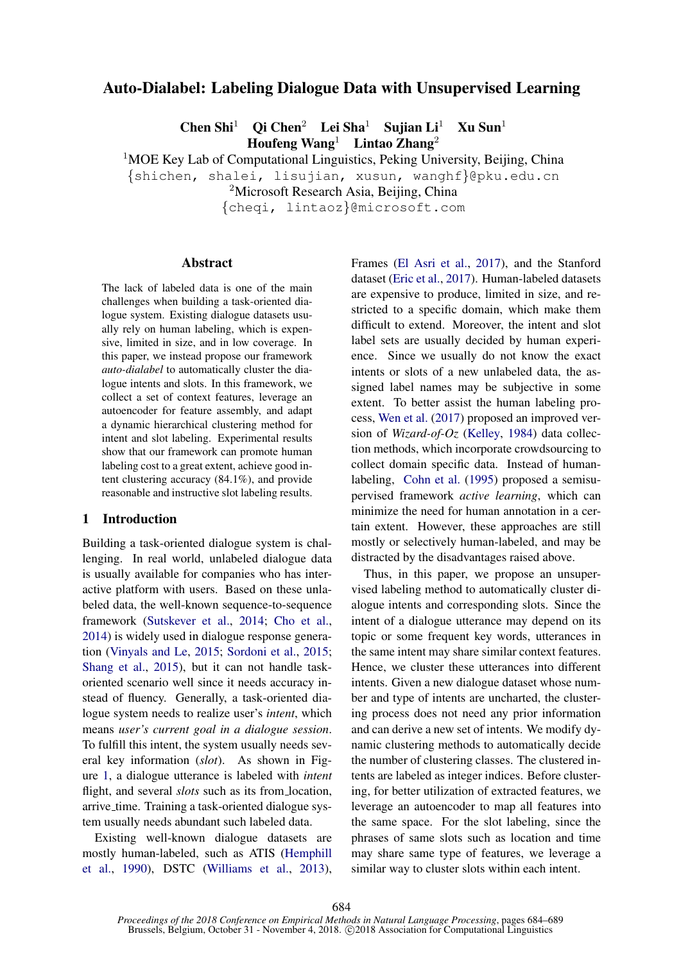# Auto-Dialabel: Labeling Dialogue Data with Unsupervised Learning

Chen Shi<sup>1</sup> Qi Chen<sup>2</sup> Lei Sha<sup>1</sup> Sujian Li<sup>1</sup> Xu Sun<sup>1</sup> Houfeng Wang<sup>1</sup> Lintao Zhang<sup>2</sup>

<sup>1</sup>MOE Key Lab of Computational Linguistics, Peking University, Beijing, China

{shichen, shalei, lisujian, xusun, wanghf}@pku.edu.cn

<sup>2</sup>Microsoft Research Asia, Beijing, China

{cheqi, lintaoz}@microsoft.com

## Abstract

The lack of labeled data is one of the main challenges when building a task-oriented dialogue system. Existing dialogue datasets usually rely on human labeling, which is expensive, limited in size, and in low coverage. In this paper, we instead propose our framework *auto-dialabel* to automatically cluster the dialogue intents and slots. In this framework, we collect a set of context features, leverage an autoencoder for feature assembly, and adapt a dynamic hierarchical clustering method for intent and slot labeling. Experimental results show that our framework can promote human labeling cost to a great extent, achieve good intent clustering accuracy (84.1%), and provide reasonable and instructive slot labeling results.

#### 1 Introduction

Building a task-oriented dialogue system is challenging. In real world, unlabeled dialogue data is usually available for companies who has interactive platform with users. Based on these unlabeled data, the well-known sequence-to-sequence framework [\(Sutskever et al.,](#page-4-0) [2014;](#page-4-0) [Cho et al.,](#page-4-1) [2014\)](#page-4-1) is widely used in dialogue response generation [\(Vinyals and Le,](#page-4-2) [2015;](#page-4-2) [Sordoni et al.,](#page-4-3) [2015;](#page-4-3) [Shang et al.,](#page-4-4) [2015\)](#page-4-4), but it can not handle taskoriented scenario well since it needs accuracy instead of fluency. Generally, a task-oriented dialogue system needs to realize user's *intent*, which means *user's current goal in a dialogue session*. To fulfill this intent, the system usually needs several key information (*slot*). As shown in Figure [1,](#page-1-0) a dialogue utterance is labeled with *intent* flight, and several *slots* such as its from location, arrive time. Training a task-oriented dialogue system usually needs abundant such labeled data.

Existing well-known dialogue datasets are mostly human-labeled, such as ATIS [\(Hemphill](#page-4-5) [et al.,](#page-4-5) [1990\)](#page-4-5), DSTC [\(Williams et al.,](#page-5-0) [2013\)](#page-5-0), Frames [\(El Asri et al.,](#page-4-6) [2017\)](#page-4-6), and the Stanford dataset [\(Eric et al.,](#page-4-7) [2017\)](#page-4-7). Human-labeled datasets are expensive to produce, limited in size, and restricted to a specific domain, which make them difficult to extend. Moreover, the intent and slot label sets are usually decided by human experience. Since we usually do not know the exact intents or slots of a new unlabeled data, the assigned label names may be subjective in some extent. To better assist the human labeling process, [Wen et al.](#page-4-8) [\(2017\)](#page-4-8) proposed an improved version of *Wizard-of-Oz* [\(Kelley,](#page-4-9) [1984\)](#page-4-9) data collection methods, which incorporate crowdsourcing to collect domain specific data. Instead of humanlabeling, [Cohn et al.](#page-4-10) [\(1995\)](#page-4-10) proposed a semisupervised framework *active learning*, which can minimize the need for human annotation in a certain extent. However, these approaches are still mostly or selectively human-labeled, and may be distracted by the disadvantages raised above.

Thus, in this paper, we propose an unsupervised labeling method to automatically cluster dialogue intents and corresponding slots. Since the intent of a dialogue utterance may depend on its topic or some frequent key words, utterances in the same intent may share similar context features. Hence, we cluster these utterances into different intents. Given a new dialogue dataset whose number and type of intents are uncharted, the clustering process does not need any prior information and can derive a new set of intents. We modify dynamic clustering methods to automatically decide the number of clustering classes. The clustered intents are labeled as integer indices. Before clustering, for better utilization of extracted features, we leverage an autoencoder to map all features into the same space. For the slot labeling, since the phrases of same slots such as location and time may share same type of features, we leverage a similar way to cluster slots within each intent.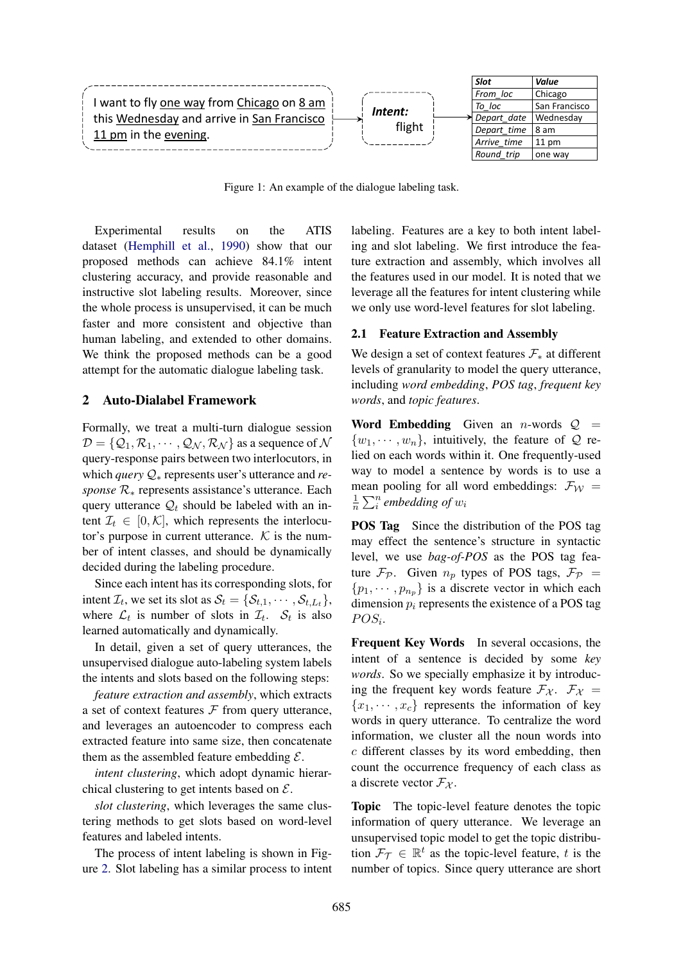

<span id="page-1-0"></span>Figure 1: An example of the dialogue labeling task.

Experimental results on the ATIS dataset [\(Hemphill et al.,](#page-4-5) [1990\)](#page-4-5) show that our proposed methods can achieve 84.1% intent clustering accuracy, and provide reasonable and instructive slot labeling results. Moreover, since the whole process is unsupervised, it can be much faster and more consistent and objective than human labeling, and extended to other domains. We think the proposed methods can be a good attempt for the automatic dialogue labeling task.

### 2 Auto-Dialabel Framework

Formally, we treat a multi-turn dialogue session  $\mathcal{D} = \{ \mathcal{Q}_1, \mathcal{R}_1, \cdots, \mathcal{Q}_N, \mathcal{R}_N \}$  as a sequence of  $\mathcal N$ query-response pairs between two interlocutors, in which *query* Q<sup>∗</sup> represents user's utterance and *response* R<sub>∗</sub> represents assistance's utterance. Each query utterance  $\mathcal{Q}_t$  should be labeled with an intent  $\mathcal{I}_t \in [0,\mathcal{K}]$ , which represents the interlocutor's purpose in current utterance.  $K$  is the number of intent classes, and should be dynamically decided during the labeling procedure.

Since each intent has its corresponding slots, for intent  $\mathcal{I}_t$ , we set its slot as  $\mathcal{S}_t = \{\mathcal{S}_{t,1}, \cdots, \mathcal{S}_{t,L_t}\},$ where  $\mathcal{L}_t$  is number of slots in  $\mathcal{I}_t$ .  $\mathcal{S}_t$  is also learned automatically and dynamically.

In detail, given a set of query utterances, the unsupervised dialogue auto-labeling system labels the intents and slots based on the following steps:

*feature extraction and assembly*, which extracts a set of context features  $F$  from query utterance, and leverages an autoencoder to compress each extracted feature into same size, then concatenate them as the assembled feature embedding  $\mathcal{E}$ .

*intent clustering*, which adopt dynamic hierarchical clustering to get intents based on  $\mathcal{E}$ .

*slot clustering*, which leverages the same clustering methods to get slots based on word-level features and labeled intents.

The process of intent labeling is shown in Figure [2.](#page-2-0) Slot labeling has a similar process to intent labeling. Features are a key to both intent labeling and slot labeling. We first introduce the feature extraction and assembly, which involves all the features used in our model. It is noted that we leverage all the features for intent clustering while we only use word-level features for slot labeling.

#### 2.1 Feature Extraction and Assembly

We design a set of context features  $\mathcal{F}_*$  at different levels of granularity to model the query utterance, including *word embedding*, *POS tag*, *frequent key words*, and *topic features*.

Word Embedding Given an *n*-words  $Q =$  $\{w_1, \dots, w_n\}$ , intuitively, the feature of Q relied on each words within it. One frequently-used way to model a sentence by words is to use a mean pooling for all word embeddings:  $\mathcal{F}_{W}$  = 1  $\frac{1}{n} \sum_{i}^{n}$  embedding of  $w_i$ 

POS Tag Since the distribution of the POS tag may effect the sentence's structure in syntactic level, we use *bag-of-POS* as the POS tag feature  $\mathcal{F}_{\mathcal{P}}$ . Given  $n_p$  types of POS tags,  $\mathcal{F}_{\mathcal{P}}$  =  $\{p_1, \dots, p_{n_n}\}\$ is a discrete vector in which each dimension  $p_i$  represents the existence of a POS tag  $POS_{i}$ .

Frequent Key Words In several occasions, the intent of a sentence is decided by some *key words*. So we specially emphasize it by introducing the frequent key words feature  $\mathcal{F}_{\mathcal{X}}$ .  $\mathcal{F}_{\mathcal{X}}$  =  ${x_1, \dots, x_c}$  represents the information of key words in query utterance. To centralize the word information, we cluster all the noun words into c different classes by its word embedding, then count the occurrence frequency of each class as a discrete vector  $\mathcal{F}_{\chi}$ .

Topic The topic-level feature denotes the topic information of query utterance. We leverage an unsupervised topic model to get the topic distribution  $\mathcal{F}_{\mathcal{T}} \in \mathbb{R}^t$  as the topic-level feature, t is the number of topics. Since query utterance are short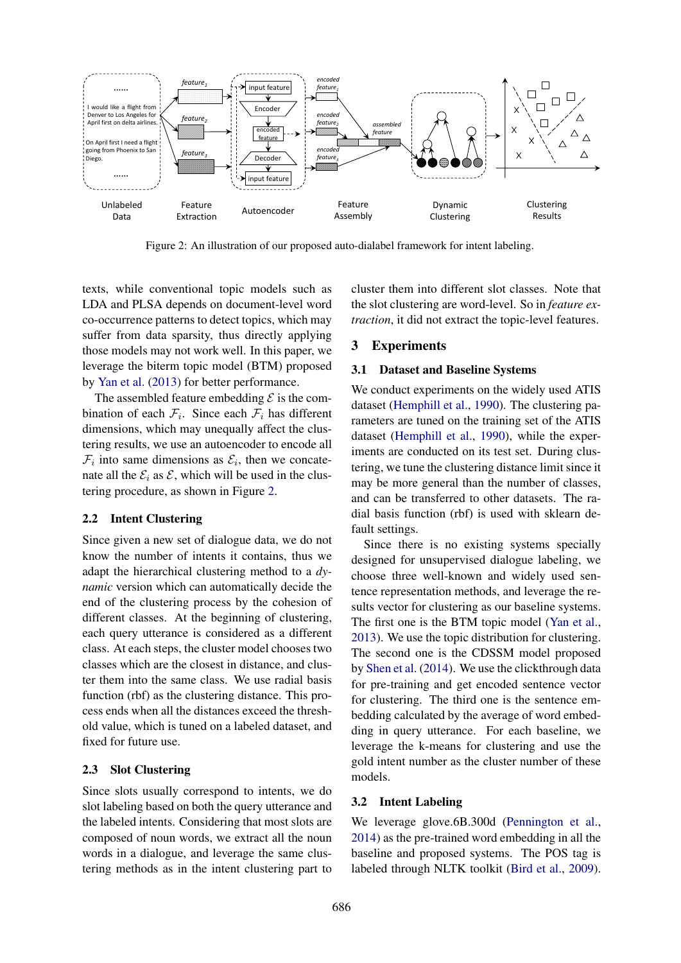

<span id="page-2-0"></span>Figure 2: An illustration of our proposed auto-dialabel framework for intent labeling.

texts, while conventional topic models such as LDA and PLSA depends on document-level word co-occurrence patterns to detect topics, which may suffer from data sparsity, thus directly applying those models may not work well. In this paper, we leverage the biterm topic model (BTM) proposed by [Yan et al.](#page-5-1) [\(2013\)](#page-5-1) for better performance.

The assembled feature embedding  $\mathcal E$  is the combination of each  $\mathcal{F}_i$ . Since each  $\mathcal{F}_i$  has different dimensions, which may unequally affect the clustering results, we use an autoencoder to encode all  $\mathcal{F}_i$  into same dimensions as  $\mathcal{E}_i$ , then we concatenate all the  $\mathcal{E}_i$  as  $\mathcal{E}$ , which will be used in the clustering procedure, as shown in Figure [2.](#page-2-0)

#### 2.2 Intent Clustering

Since given a new set of dialogue data, we do not know the number of intents it contains, thus we adapt the hierarchical clustering method to a *dynamic* version which can automatically decide the end of the clustering process by the cohesion of different classes. At the beginning of clustering, each query utterance is considered as a different class. At each steps, the cluster model chooses two classes which are the closest in distance, and cluster them into the same class. We use radial basis function (rbf) as the clustering distance. This process ends when all the distances exceed the threshold value, which is tuned on a labeled dataset, and fixed for future use.

#### 2.3 Slot Clustering

Since slots usually correspond to intents, we do slot labeling based on both the query utterance and the labeled intents. Considering that most slots are composed of noun words, we extract all the noun words in a dialogue, and leverage the same clustering methods as in the intent clustering part to

cluster them into different slot classes. Note that the slot clustering are word-level. So in *feature extraction*, it did not extract the topic-level features.

### 3 Experiments

#### 3.1 Dataset and Baseline Systems

We conduct experiments on the widely used ATIS dataset [\(Hemphill et al.,](#page-4-5) [1990\)](#page-4-5). The clustering parameters are tuned on the training set of the ATIS dataset [\(Hemphill et al.,](#page-4-5) [1990\)](#page-4-5), while the experiments are conducted on its test set. During clustering, we tune the clustering distance limit since it may be more general than the number of classes, and can be transferred to other datasets. The radial basis function (rbf) is used with sklearn default settings.

Since there is no existing systems specially designed for unsupervised dialogue labeling, we choose three well-known and widely used sentence representation methods, and leverage the results vector for clustering as our baseline systems. The first one is the BTM topic model [\(Yan et al.,](#page-5-1) [2013\)](#page-5-1). We use the topic distribution for clustering. The second one is the CDSSM model proposed by [Shen et al.](#page-4-11) [\(2014\)](#page-4-11). We use the clickthrough data for pre-training and get encoded sentence vector for clustering. The third one is the sentence embedding calculated by the average of word embedding in query utterance. For each baseline, we leverage the k-means for clustering and use the gold intent number as the cluster number of these models.

#### 3.2 Intent Labeling

We leverage glove.6B.300d [\(Pennington et al.,](#page-4-12) [2014\)](#page-4-12) as the pre-trained word embedding in all the baseline and proposed systems. The POS tag is labeled through NLTK toolkit [\(Bird et al.,](#page-4-13) [2009\)](#page-4-13).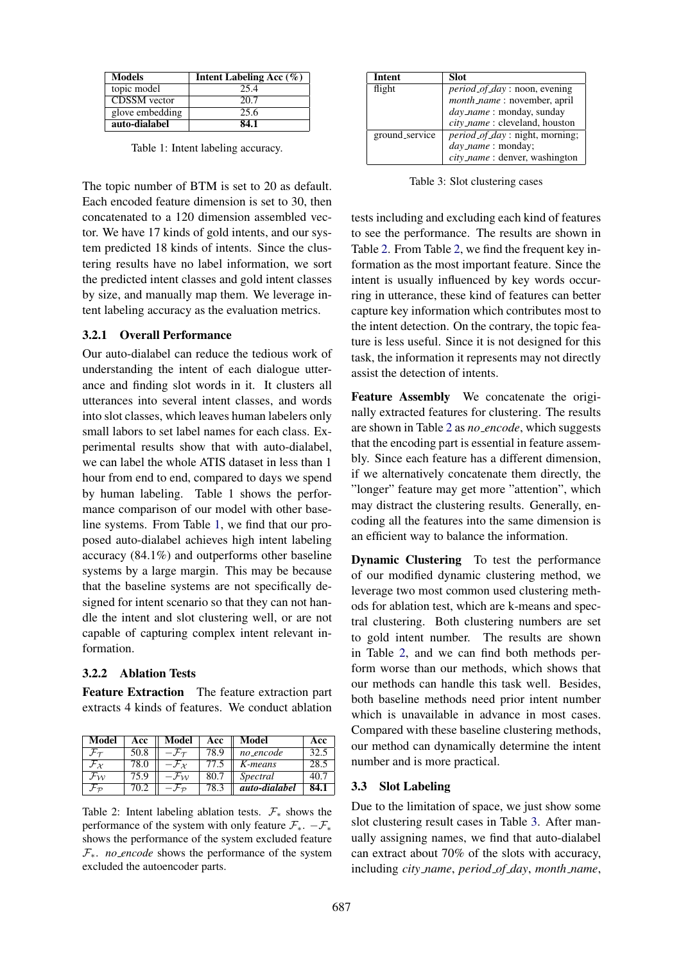| <b>Models</b>       | Intent Labeling Acc $(\% )$ |
|---------------------|-----------------------------|
| topic model         | 25.4                        |
| <b>CDSSM</b> vector | 20.7                        |
| glove embedding     | 25.6                        |
| auto-dialabel       | 84.1                        |

<span id="page-3-0"></span>Table 1: Intent labeling accuracy.

The topic number of BTM is set to 20 as default. Each encoded feature dimension is set to 30, then concatenated to a 120 dimension assembled vector. We have 17 kinds of gold intents, and our system predicted 18 kinds of intents. Since the clustering results have no label information, we sort the predicted intent classes and gold intent classes by size, and manually map them. We leverage intent labeling accuracy as the evaluation metrics.

#### 3.2.1 Overall Performance

Our auto-dialabel can reduce the tedious work of understanding the intent of each dialogue utterance and finding slot words in it. It clusters all utterances into several intent classes, and words into slot classes, which leaves human labelers only small labors to set label names for each class. Experimental results show that with auto-dialabel, we can label the whole ATIS dataset in less than 1 hour from end to end, compared to days we spend by human labeling. Table 1 shows the performance comparison of our model with other baseline systems. From Table [1,](#page-3-0) we find that our proposed auto-dialabel achieves high intent labeling accuracy (84.1%) and outperforms other baseline systems by a large margin. This may be because that the baseline systems are not specifically designed for intent scenario so that they can not handle the intent and slot clustering well, or are not capable of capturing complex intent relevant information.

#### 3.2.2 Ablation Tests

Feature Extraction The feature extraction part extracts 4 kinds of features. We conduct ablation

| <b>Model</b>                | Acc  | Model                        | Acc  | Model           | Acc  |
|-----------------------------|------|------------------------------|------|-----------------|------|
|                             | 50.8 |                              | 78.9 | no_encode       | 32.5 |
| $\mathcal{F}_{\chi}$        | 78.0 | $-\mathcal{F}_{\mathcal{X}}$ | 77.5 | K-means         | 28.5 |
| $\mathcal{F}_{\mathcal{W}}$ | 75.9 |                              | 80.7 | <i>Spectral</i> | 40.7 |
|                             | 70.2 |                              | 78.3 | auto-dialabel   | 84.1 |

<span id="page-3-1"></span>Table 2: Intent labeling ablation tests.  $\mathcal{F}_*$  shows the performance of the system with only feature  $\mathcal{F}_{*}$ .  $-\mathcal{F}_{*}$ shows the performance of the system excluded feature  $\mathcal{F}_{*}$ . *no\_encode* shows the performance of the system excluded the autoencoder parts.

| <b>Intent</b>  | <b>Slot</b>                            |
|----------------|----------------------------------------|
| flight         | <i>period_of_day</i> : noon, evening   |
|                | month_name: november, april            |
|                | <i>day_name</i> : monday, sunday       |
|                | city_name: cleveland, houston          |
| ground_service | <i>period_of_day</i> : night, morning; |
|                | <i>day_name</i> : monday;              |
|                | $city_name:$ denver, washington        |

<span id="page-3-2"></span>Table 3: Slot clustering cases

tests including and excluding each kind of features to see the performance. The results are shown in Table [2.](#page-3-1) From Table [2,](#page-3-1) we find the frequent key information as the most important feature. Since the intent is usually influenced by key words occurring in utterance, these kind of features can better capture key information which contributes most to the intent detection. On the contrary, the topic feature is less useful. Since it is not designed for this task, the information it represents may not directly assist the detection of intents.

Feature Assembly We concatenate the originally extracted features for clustering. The results are shown in Table [2](#page-3-1) as *no encode*, which suggests that the encoding part is essential in feature assembly. Since each feature has a different dimension, if we alternatively concatenate them directly, the "longer" feature may get more "attention", which may distract the clustering results. Generally, encoding all the features into the same dimension is an efficient way to balance the information.

Dynamic Clustering To test the performance of our modified dynamic clustering method, we leverage two most common used clustering methods for ablation test, which are k-means and spectral clustering. Both clustering numbers are set to gold intent number. The results are shown in Table [2,](#page-3-1) and we can find both methods perform worse than our methods, which shows that our methods can handle this task well. Besides, both baseline methods need prior intent number which is unavailable in advance in most cases. Compared with these baseline clustering methods, our method can dynamically determine the intent number and is more practical.

## 3.3 Slot Labeling

Due to the limitation of space, we just show some slot clustering result cases in Table [3.](#page-3-2) After manually assigning names, we find that auto-dialabel can extract about 70% of the slots with accuracy, including *city name*, *period of day*, *month name*,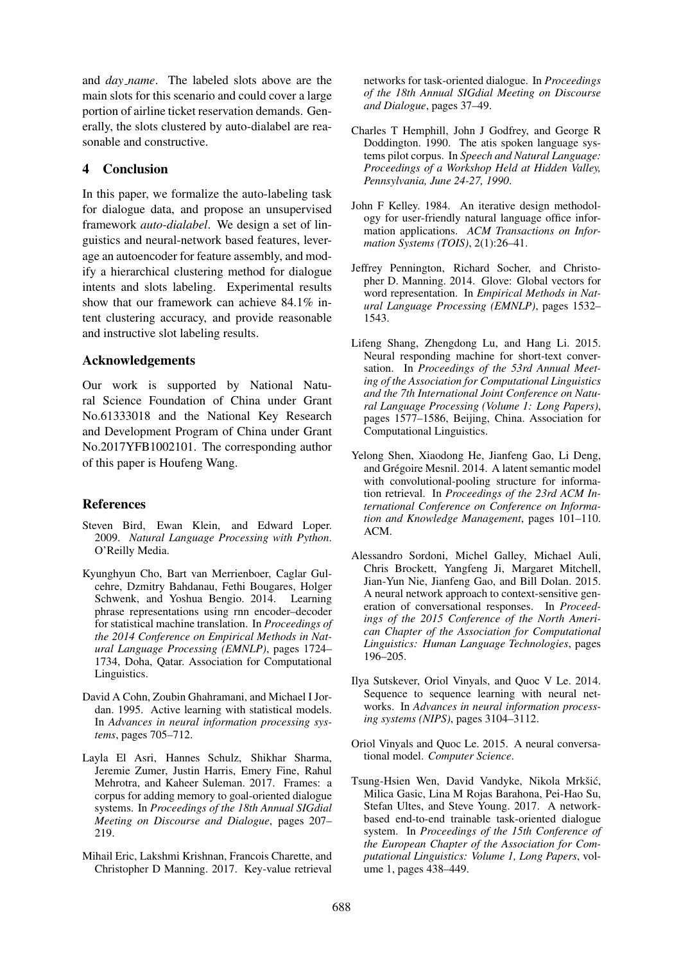and *day name*. The labeled slots above are the main slots for this scenario and could cover a large portion of airline ticket reservation demands. Generally, the slots clustered by auto-dialabel are reasonable and constructive.

## 4 Conclusion

In this paper, we formalize the auto-labeling task for dialogue data, and propose an unsupervised framework *auto-dialabel*. We design a set of linguistics and neural-network based features, leverage an autoencoder for feature assembly, and modify a hierarchical clustering method for dialogue intents and slots labeling. Experimental results show that our framework can achieve 84.1% intent clustering accuracy, and provide reasonable and instructive slot labeling results.

## Acknowledgements

Our work is supported by National Natural Science Foundation of China under Grant No.61333018 and the National Key Research and Development Program of China under Grant No.2017YFB1002101. The corresponding author of this paper is Houfeng Wang.

## References

- <span id="page-4-13"></span>Steven Bird, Ewan Klein, and Edward Loper. 2009. *Natural Language Processing with Python*. O'Reilly Media.
- <span id="page-4-1"></span>Kyunghyun Cho, Bart van Merrienboer, Caglar Gulcehre, Dzmitry Bahdanau, Fethi Bougares, Holger Schwenk, and Yoshua Bengio. 2014. Learning phrase representations using rnn encoder–decoder for statistical machine translation. In *Proceedings of the 2014 Conference on Empirical Methods in Natural Language Processing (EMNLP)*, pages 1724– 1734, Doha, Qatar. Association for Computational Linguistics.
- <span id="page-4-10"></span>David A Cohn, Zoubin Ghahramani, and Michael I Jordan. 1995. Active learning with statistical models. In *Advances in neural information processing systems*, pages 705–712.
- <span id="page-4-6"></span>Layla El Asri, Hannes Schulz, Shikhar Sharma, Jeremie Zumer, Justin Harris, Emery Fine, Rahul Mehrotra, and Kaheer Suleman. 2017. Frames: a corpus for adding memory to goal-oriented dialogue systems. In *Proceedings of the 18th Annual SIGdial Meeting on Discourse and Dialogue*, pages 207– 219.
- <span id="page-4-7"></span>Mihail Eric, Lakshmi Krishnan, Francois Charette, and Christopher D Manning. 2017. Key-value retrieval

networks for task-oriented dialogue. In *Proceedings of the 18th Annual SIGdial Meeting on Discourse and Dialogue*, pages 37–49.

- <span id="page-4-5"></span>Charles T Hemphill, John J Godfrey, and George R Doddington. 1990. The atis spoken language systems pilot corpus. In *Speech and Natural Language: Proceedings of a Workshop Held at Hidden Valley, Pennsylvania, June 24-27, 1990*.
- <span id="page-4-9"></span>John F Kelley. 1984. An iterative design methodology for user-friendly natural language office information applications. *ACM Transactions on Information Systems (TOIS)*, 2(1):26–41.
- <span id="page-4-12"></span>Jeffrey Pennington, Richard Socher, and Christopher D. Manning. 2014. Glove: Global vectors for word representation. In *Empirical Methods in Natural Language Processing (EMNLP)*, pages 1532– 1543.
- <span id="page-4-4"></span>Lifeng Shang, Zhengdong Lu, and Hang Li. 2015. Neural responding machine for short-text conversation. In *Proceedings of the 53rd Annual Meeting of the Association for Computational Linguistics and the 7th International Joint Conference on Natural Language Processing (Volume 1: Long Papers)*, pages 1577–1586, Beijing, China. Association for Computational Linguistics.
- <span id="page-4-11"></span>Yelong Shen, Xiaodong He, Jianfeng Gao, Li Deng, and Grégoire Mesnil. 2014. A latent semantic model with convolutional-pooling structure for information retrieval. In *Proceedings of the 23rd ACM International Conference on Conference on Information and Knowledge Management*, pages 101–110. ACM.
- <span id="page-4-3"></span>Alessandro Sordoni, Michel Galley, Michael Auli, Chris Brockett, Yangfeng Ji, Margaret Mitchell, Jian-Yun Nie, Jianfeng Gao, and Bill Dolan. 2015. A neural network approach to context-sensitive generation of conversational responses. In *Proceedings of the 2015 Conference of the North American Chapter of the Association for Computational Linguistics: Human Language Technologies*, pages 196–205.
- <span id="page-4-0"></span>Ilya Sutskever, Oriol Vinyals, and Quoc V Le. 2014. Sequence to sequence learning with neural networks. In *Advances in neural information processing systems (NIPS)*, pages 3104–3112.
- <span id="page-4-2"></span>Oriol Vinyals and Quoc Le. 2015. A neural conversational model. *Computer Science*.
- <span id="page-4-8"></span>Tsung-Hsien Wen, David Vandyke, Nikola Mrkšić, Milica Gasic, Lina M Rojas Barahona, Pei-Hao Su, Stefan Ultes, and Steve Young. 2017. A networkbased end-to-end trainable task-oriented dialogue system. In *Proceedings of the 15th Conference of the European Chapter of the Association for Computational Linguistics: Volume 1, Long Papers*, volume 1, pages 438–449.